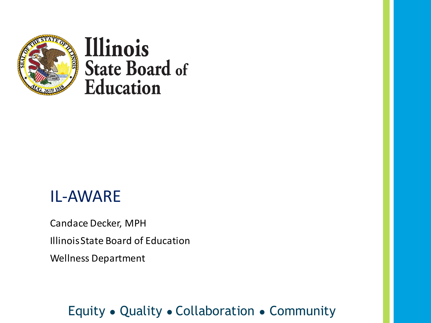

#### IL-AWARE

Candace Decker, MPH

Illinois State Board of Education

Wellness Department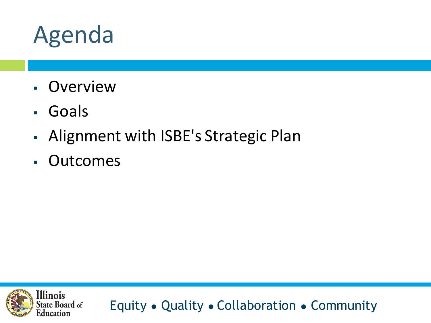

- Overview
- Goals
- Alignment with ISBE's Strategic Plan
- Outcomes

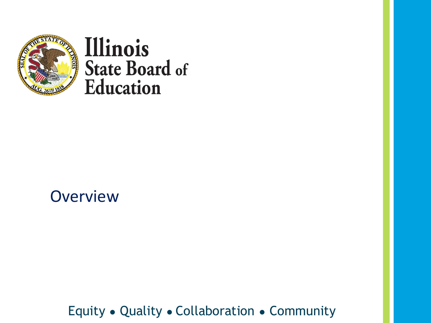

#### **Overview**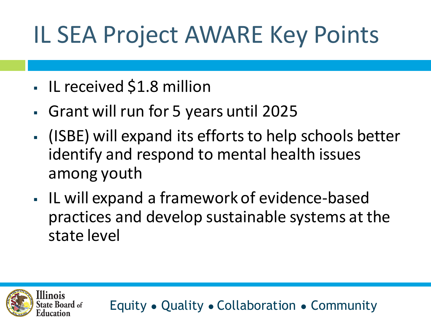# IL SEA Project AWARE Key Points

▪ IL received \$1.8 million

llinois

- Grant will run for 5 years until 2025
- (ISBE) will expand its efforts to help schools better identify and respond to mental health issues among youth
- IL will expand a framework of evidence-based practices and develop sustainable systems at the state level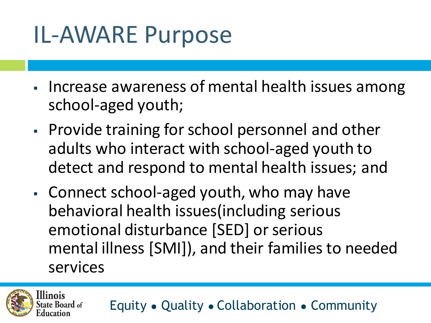# IL-AWARE Purpose

- **· Increase awareness of mental health issues among** school-aged youth;
- **Provide training for school personnel and other** adults who interact with school-aged youth to detect and respond to mental health issues; and
- Connect school-aged youth, who may have behavioral health issues(including serious emotional disturbance [SED] or serious mental illness [SMI]), and their families to needed services

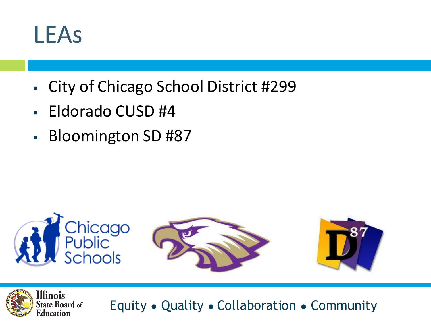#### LEAs

- City of Chicago School District #299
- Eldorado CUSD #4
- Bloomington SD #87



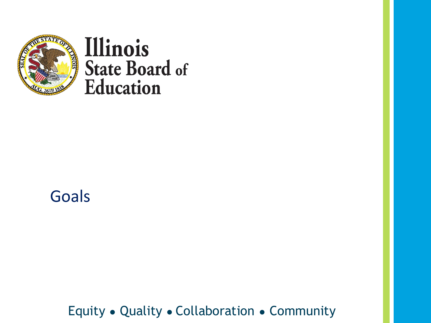

#### Goals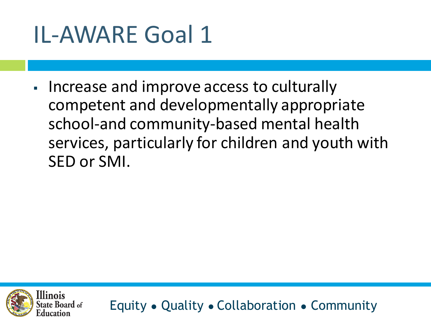▪ Increase and improve access to culturally competent and developmentally appropriate school-and community-based mental health services, particularly for children and youth with SED or SMI.

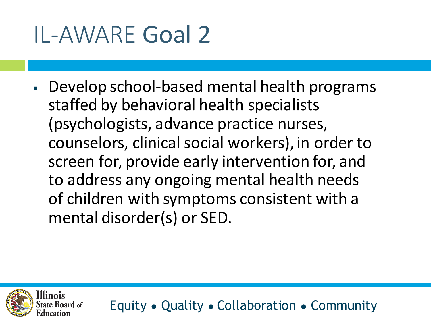llinois

▪ Develop school-based mental health programs staffed by behavioral health specialists (psychologists, advance practice nurses, counselors, clinical social workers), in order to screen for, provide early intervention for, and to address any ongoing mental health needs of children with symptoms consistent with a mental disorder(s) or SED.

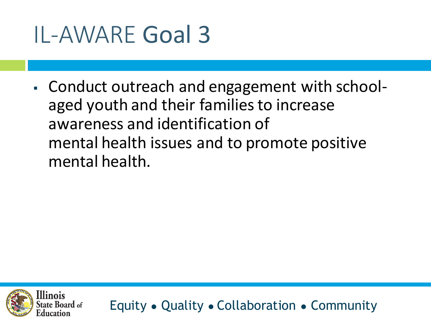▪ Conduct outreach and engagement with schoolaged youth and their families to increase awareness and identification of mental health issues and to promote positive mental health.

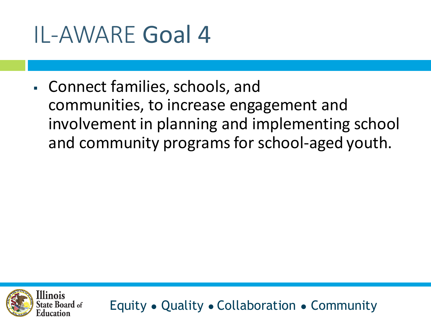▪ Connect families, schools, and communities, to increase engagement and involvement in planning and implementing school and community programs for school-aged youth.

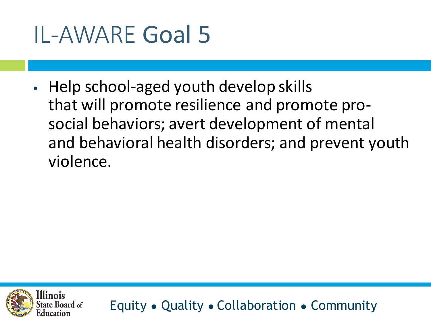▪ Help school-aged youth develop skills that will promote resilience and promote prosocial behaviors; avert development of mental and behavioral health disorders; and prevent youth violence.

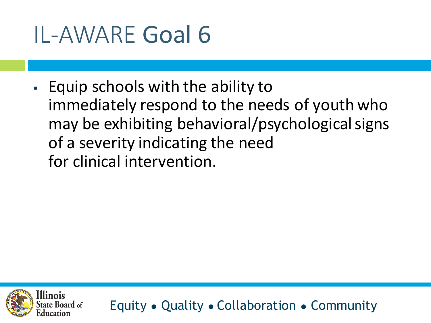▪ Equip schools with the ability to immediately respond to the needs of youth who may be exhibiting behavioral/psychological signs of a severity indicating the need for clinical intervention.

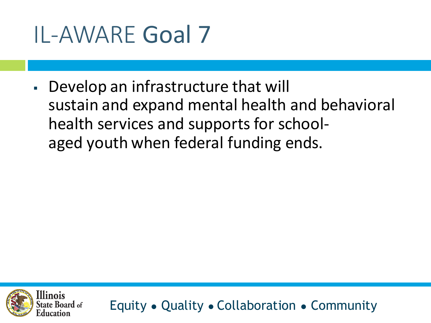• Develop an infrastructure that will sustain and expand mental health and behavioral health services and supports for schoolaged youth when federal funding ends.

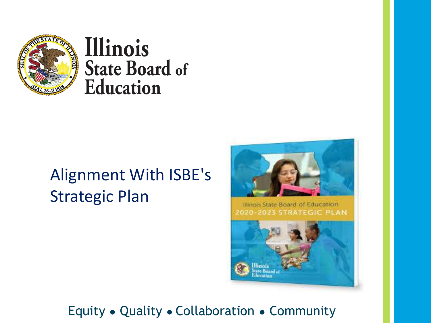

#### Alignment With ISBE's Strategic Plan

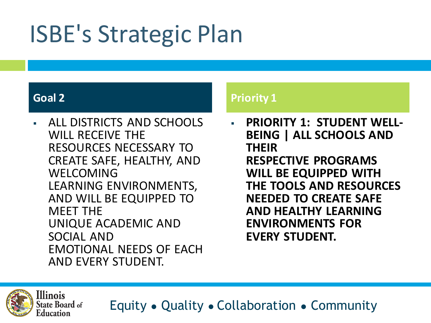# ISBE's Strategic Plan

**Illinois** 

**State Board of** Education

**ALL DISTRICTS AND SCHOOLS** WILL RECEIVE THE RESOURCES NECESSARY TO CREATE SAFE, HEALTHY, AND WELCOMING LEARNING ENVIRONMENTS, AND WILL BE EQUIPPED TO MEET THE UNIQUE ACADEMIC AND SOCIAL AND EMOTIONAL NEEDS OF EACH AND EVERY STUDENT.

#### **Goal 2 Priority 1 Priority 1**

▪ **PRIORITY 1: STUDENT WELL-BEING | ALL SCHOOLS AND THEIR RESPECTIVE PROGRAMS WILL BE EQUIPPED WITH THE TOOLS AND RESOURCES NEEDED TO CREATE SAFE AND HEALTHY LEARNING ENVIRONMENTS FOR EVERY STUDENT.**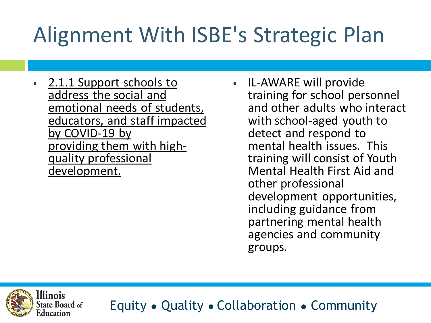# Alignment With ISBE's Strategic Plan

- 2.1.1 Support schools to address the social and emotional needs of students, educators, and staff impacted by COVID-19 by providing them with highquality professional development.
- IL-AWARE will provide training for school personnel and other adults who interact with school-aged youth to detect and respond to mental health issues. This training will consist of Youth Mental Health First Aid and other professional development opportunities, including guidance from partnering mental health agencies and community groups.

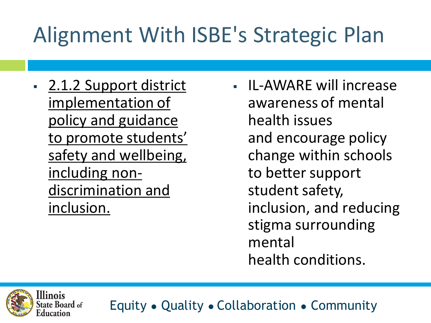# Alignment With ISBE's Strategic Plan

**2.1.2 Support district** implementation of policy and guidance to promote students' safety and wellbeing, including nondiscrimination and inclusion.

▪ IL-AWARE will increase awareness of mental health issues and encourage policy change within schools to better support student safety, inclusion, and reducing stigma surrounding mental health conditions.

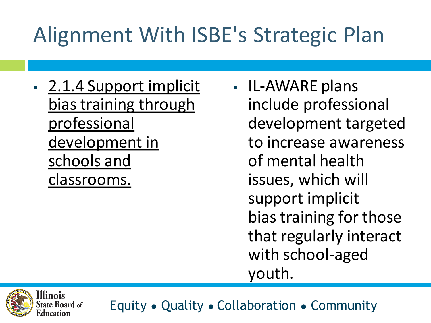# Alignment With ISBE's Strategic Plan

- **2.1.4 Support implicit** bias training through professional development in schools and classrooms.
- IL-AWARE plans include professional development targeted to increase awareness of mental health issues, which will support implicit bias training for those that regularly interact with school-aged youth.

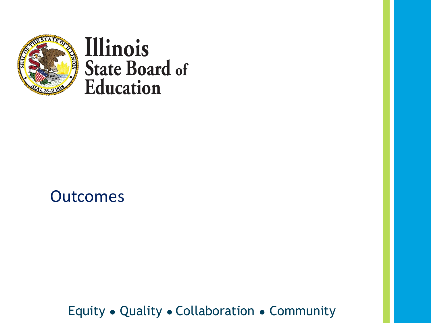

#### **Outcomes**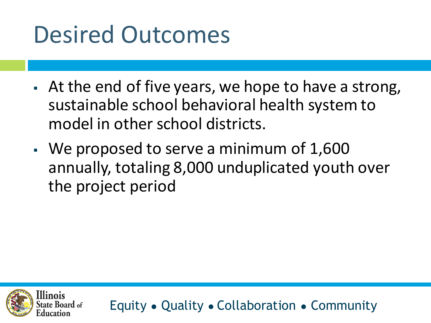# Desired Outcomes

- **EXE** At the end of five years, we hope to have a strong, sustainable school behavioral health system to model in other school districts.
- We proposed to serve a minimum of 1,600 annually, totaling 8,000 unduplicated youth over the project period